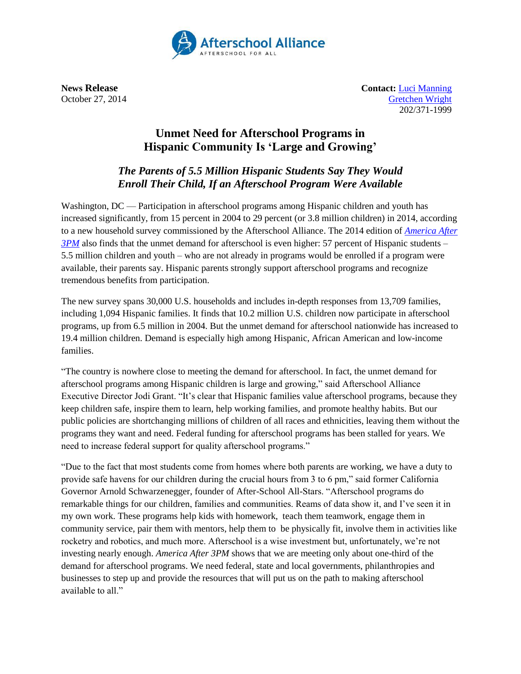

**News Release Contact:** [Luci Manning](mailto:luci@prsolutionsdc.com) October 27, 2014 [Gretchen Wright](mailto:gretchen@prsolutionsdc.com) 202/371-1999

## **Unmet Need for Afterschool Programs in Hispanic Community Is 'Large and Growing'**

## *The Parents of 5.5 Million Hispanic Students Say They Would Enroll Their Child, If an Afterschool Program Were Available*

Washington,  $DC$  — Participation in afterschool programs among Hispanic children and youth has increased significantly, from 15 percent in 2004 to 29 percent (or 3.8 million children) in 2014, according to a new household survey commissioned by the Afterschool Alliance. The 2014 edition of *[America After](http://www.afterschoolalliance.org/AA3PM)  [3PM](http://www.afterschoolalliance.org/AA3PM)* also finds that the unmet demand for afterschool is even higher: 57 percent of Hispanic students – 5.5 million children and youth – who are not already in programs would be enrolled if a program were available, their parents say. Hispanic parents strongly support afterschool programs and recognize tremendous benefits from participation.

The new survey spans 30,000 U.S. households and includes in-depth responses from 13,709 families, including 1,094 Hispanic families. It finds that 10.2 million U.S. children now participate in afterschool programs, up from 6.5 million in 2004. But the unmet demand for afterschool nationwide has increased to 19.4 million children. Demand is especially high among Hispanic, African American and low-income families.

"The country is nowhere close to meeting the demand for afterschool. In fact, the unmet demand for afterschool programs among Hispanic children is large and growing," said Afterschool Alliance Executive Director Jodi Grant. "It's clear that Hispanic families value afterschool programs, because they keep children safe, inspire them to learn, help working families, and promote healthy habits. But our public policies are shortchanging millions of children of all races and ethnicities, leaving them without the programs they want and need. Federal funding for afterschool programs has been stalled for years. We need to increase federal support for quality afterschool programs."

"Due to the fact that most students come from homes where both parents are working, we have a duty to provide safe havens for our children during the crucial hours from 3 to 6 pm," said former California Governor Arnold Schwarzenegger, founder of After-School All-Stars. "Afterschool programs do remarkable things for our children, families and communities. Reams of data show it, and I've seen it in my own work. These programs help kids with homework, teach them teamwork, engage them in community service, pair them with mentors, help them to be physically fit, involve them in activities like rocketry and robotics, and much more. Afterschool is a wise investment but, unfortunately, we're not investing nearly enough. *America After 3PM* shows that we are meeting only about one-third of the demand for afterschool programs. We need federal, state and local governments, philanthropies and businesses to step up and provide the resources that will put us on the path to making afterschool available to all."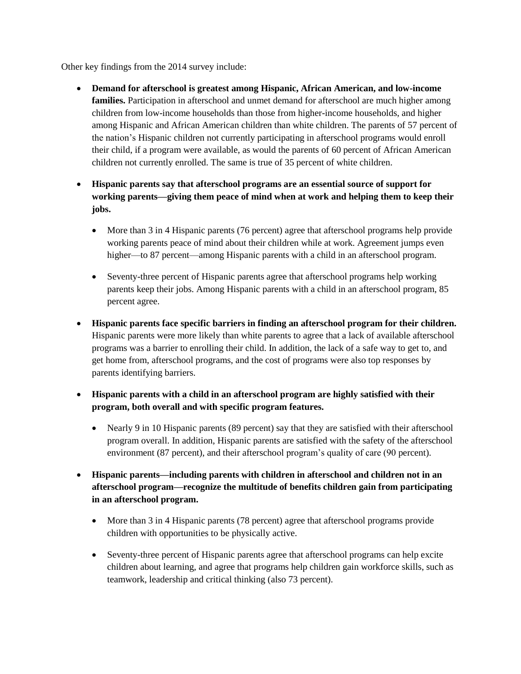Other key findings from the 2014 survey include:

- **Demand for afterschool is greatest among Hispanic, African American, and low-income families.** Participation in afterschool and unmet demand for afterschool are much higher among children from low-income households than those from higher-income households, and higher among Hispanic and African American children than white children. The parents of 57 percent of the nation's Hispanic children not currently participating in afterschool programs would enroll their child, if a program were available, as would the parents of 60 percent of African American children not currently enrolled. The same is true of 35 percent of white children.
- **Hispanic parents say that afterschool programs are an essential source of support for working parents—giving them peace of mind when at work and helping them to keep their jobs.** 
	- More than 3 in 4 Hispanic parents (76 percent) agree that afterschool programs help provide working parents peace of mind about their children while at work. Agreement jumps even higher—to 87 percent—among Hispanic parents with a child in an afterschool program.
	- Seventy-three percent of Hispanic parents agree that afterschool programs help working parents keep their jobs. Among Hispanic parents with a child in an afterschool program, 85 percent agree.
- **Hispanic parents face specific barriers in finding an afterschool program for their children.** Hispanic parents were more likely than white parents to agree that a lack of available afterschool programs was a barrier to enrolling their child. In addition, the lack of a safe way to get to, and get home from, afterschool programs, and the cost of programs were also top responses by parents identifying barriers.
- **Hispanic parents with a child in an afterschool program are highly satisfied with their program, both overall and with specific program features.** 
	- Nearly 9 in 10 Hispanic parents (89 percent) say that they are satisfied with their afterschool program overall. In addition, Hispanic parents are satisfied with the safety of the afterschool environment (87 percent), and their afterschool program's quality of care (90 percent).
- **Hispanic parents—including parents with children in afterschool and children not in an afterschool program—recognize the multitude of benefits children gain from participating in an afterschool program.**
	- More than 3 in 4 Hispanic parents (78 percent) agree that afterschool programs provide children with opportunities to be physically active.
	- Seventy-three percent of Hispanic parents agree that afterschool programs can help excite children about learning, and agree that programs help children gain workforce skills, such as teamwork, leadership and critical thinking (also 73 percent).